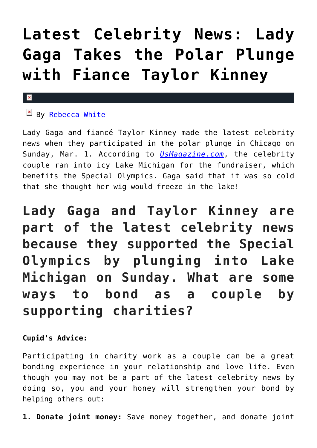## **[Latest Celebrity News: Lady](https://cupidspulse.com/87911/latest-celebrity-news-lady-gaga-polar-plunge-taylor-kinney/) [Gaga Takes the Polar Plunge](https://cupidspulse.com/87911/latest-celebrity-news-lady-gaga-polar-plunge-taylor-kinney/) [with Fiance Taylor Kinney](https://cupidspulse.com/87911/latest-celebrity-news-lady-gaga-polar-plunge-taylor-kinney/)**

## x

## $B_y$  [Rebecca White](http://cupidspulse.com/104603/rebecca-white/)

Lady Gaga and fiancé Taylor Kinney made the latest celebrity news when they participated in the polar plunge in Chicago on Sunday, Mar. 1. According to *[UsMagazine.com](http://www.usmagazine.com/celebrity-news/news/lady-gaga-fiance-taylor-kinney-take-polar-plunge-photos-201513)*, the celebrity couple ran into icy Lake Michigan for the fundraiser, which benefits the Special Olympics. Gaga said that it was so cold that she thought her wig would freeze in the lake!

**Lady Gaga and Taylor Kinney are part of the latest celebrity news because they supported the Special Olympics by plunging into Lake Michigan on Sunday. What are some ways to bond as a couple by supporting charities?**

## **Cupid's Advice:**

Participating in charity work as a couple can be a great bonding experience in your relationship and love life. Even though you may not be a part of the latest celebrity news by doing so, you and your honey will strengthen your bond by helping others out:

**1. Donate joint money:** Save money together, and donate joint